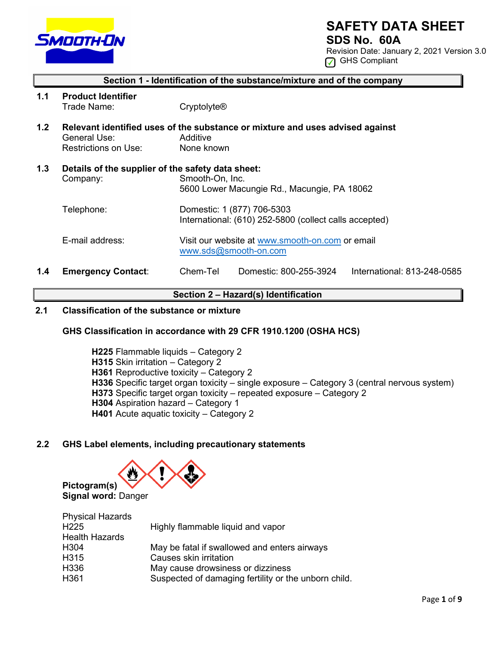

# **SAFETY DATA SHEET**

**SDS No. 60A**

Revision Date: January 2, 2021 Version 3.0 GHS Compliant

## **Section 1 - Identification of the substance/mixture and of the company**

- **1.1 Product Identifier** Trade Name: Cryptolyte®
- **1.2 Relevant identified uses of the substance or mixture and uses advised against**  General Use: <br>
Restrictions on Use: 
None known Restrictions on Use:
- **1.3 Details of the supplier of the safety data sheet:** Company: Smooth-On, Inc. 5600 Lower Macungie Rd., Macungie, PA 18062 Telephone: Domestic: 1 (877) 706-5303 International: (610) 252-5800 (collect calls accepted)
	- E-mail address: Visit our website at [www.smooth-on.com](http://www.smooth-on.com/) or email [www.sds@smooth-on.com](http://www.sds@smooth-on.com)
- **1.4 Emergency Contact**: Chem-Tel Domestic: 800-255-3924 International: 813-248-0585

### **Section 2 – Hazard(s) Identification**

## **2.1 Classification of the substance or mixture**

## **GHS Classification in accordance with 29 CFR 1910.1200 (OSHA HCS)**

**H225** Flammable liquids – Category 2 **H315** Skin irritation – Category 2 **H361** Reproductive toxicity – Category 2 **H336** Specific target organ toxicity – single exposure – Category 3 (central nervous system) **H373** Specific target organ toxicity – repeated exposure – Category 2 **H304** Aspiration hazard – Category 1 **H401** Acute aquatic toxicity – Category 2

### **2.2 GHS Label elements, including precautionary statements**



| <b>Physical Hazards</b> |                                                      |
|-------------------------|------------------------------------------------------|
| H <sub>225</sub>        | Highly flammable liquid and vapor                    |
| <b>Health Hazards</b>   |                                                      |
| H304                    | May be fatal if swallowed and enters airways         |
| H315                    | Causes skin irritation                               |
| H336                    | May cause drowsiness or dizziness                    |
| H361                    | Suspected of damaging fertility or the unborn child. |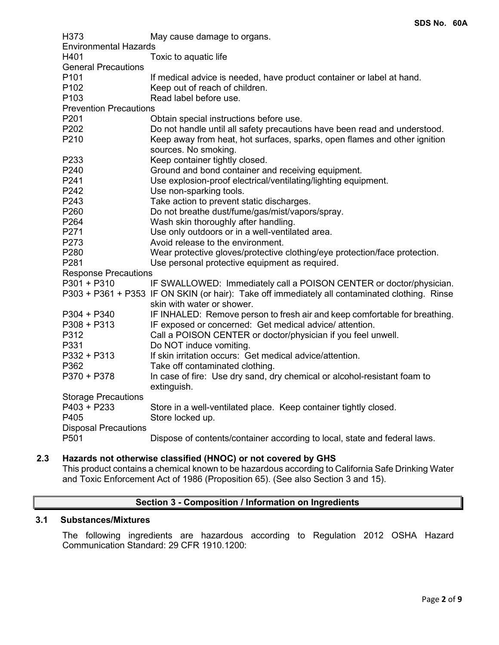| H373                          | May cause damage to organs.                                                                    |
|-------------------------------|------------------------------------------------------------------------------------------------|
| <b>Environmental Hazards</b>  |                                                                                                |
| H401                          | Toxic to aquatic life                                                                          |
| <b>General Precautions</b>    |                                                                                                |
| P <sub>101</sub>              | If medical advice is needed, have product container or label at hand.                          |
| P <sub>102</sub>              | Keep out of reach of children.                                                                 |
| P <sub>103</sub>              | Read label before use.                                                                         |
| <b>Prevention Precautions</b> |                                                                                                |
| P201                          | Obtain special instructions before use.                                                        |
| P202                          | Do not handle until all safety precautions have been read and understood.                      |
| P210                          | Keep away from heat, hot surfaces, sparks, open flames and other ignition                      |
|                               | sources. No smoking.                                                                           |
| P233                          | Keep container tightly closed.                                                                 |
| P240                          | Ground and bond container and receiving equipment.                                             |
| P241                          | Use explosion-proof electrical/ventilating/lighting equipment.                                 |
| P242                          | Use non-sparking tools.                                                                        |
| P243                          | Take action to prevent static discharges.                                                      |
| P260                          | Do not breathe dust/fume/gas/mist/vapors/spray.                                                |
| P264                          | Wash skin thoroughly after handling.                                                           |
| P271                          | Use only outdoors or in a well-ventilated area.                                                |
| P273                          | Avoid release to the environment.                                                              |
| P280                          | Wear protective gloves/protective clothing/eye protection/face protection.                     |
| P281                          | Use personal protective equipment as required.                                                 |
| <b>Response Precautions</b>   |                                                                                                |
| $P301 + P310$                 | IF SWALLOWED: Immediately call a POISON CENTER or doctor/physician.                            |
|                               | P303 + P361 + P353 IF ON SKIN (or hair): Take off immediately all contaminated clothing. Rinse |
|                               | skin with water or shower.                                                                     |
| $P304 + P340$                 | IF INHALED: Remove person to fresh air and keep comfortable for breathing.                     |
| $P308 + P313$                 | IF exposed or concerned: Get medical advice/attention.                                         |
| P312                          | Call a POISON CENTER or doctor/physician if you feel unwell.                                   |
| P331                          | Do NOT induce vomiting.                                                                        |
| P332 + P313                   | If skin irritation occurs: Get medical advice/attention.                                       |
| P362                          | Take off contaminated clothing.                                                                |
| P370 + P378                   | In case of fire: Use dry sand, dry chemical or alcohol-resistant foam to<br>extinguish.        |
| <b>Storage Precautions</b>    |                                                                                                |
| $P403 + P233$                 | Store in a well-ventilated place. Keep container tightly closed.                               |
| P405                          | Store locked up.                                                                               |
| <b>Disposal Precautions</b>   |                                                                                                |
| P501                          | Dispose of contents/container according to local, state and federal laws.                      |

## **2.3 Hazards not otherwise classified (HNOC) or not covered by GHS**

This product contains a chemical known to be hazardous according to California Safe Drinking Water and Toxic Enforcement Act of 1986 (Proposition 65). (See also Section 3 and 15).

# **Section 3 - Composition / Information on Ingredients**

## **3.1 Substances/Mixtures**

The following ingredients are hazardous according to Regulation 2012 OSHA Hazard Communication Standard: 29 CFR 1910.1200: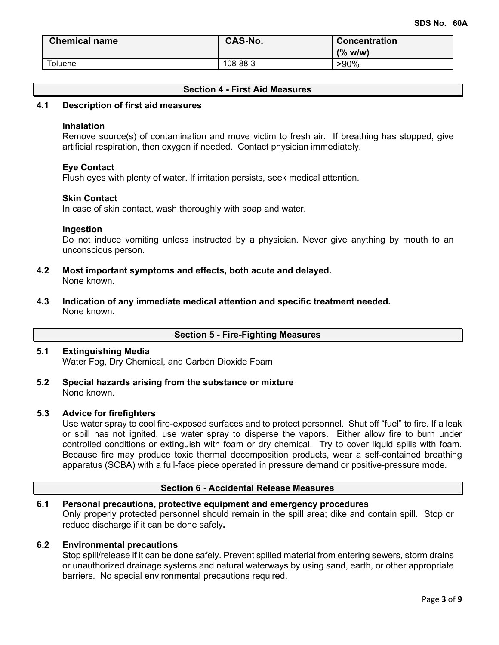| <b>Chemical name</b> | <b>CAS-No.</b><br><b>Concentration</b> |         |
|----------------------|----------------------------------------|---------|
|                      |                                        | (% w/w) |
| Toluene              | 108-88-3                               | $>90\%$ |

## **Section 4 - First Aid Measures**

### **4.1 Description of first aid measures**

### **Inhalation**

Remove source(s) of contamination and move victim to fresh air. If breathing has stopped, give artificial respiration, then oxygen if needed. Contact physician immediately.

### **Eye Contact**

Flush eyes with plenty of water. If irritation persists, seek medical attention.

### **Skin Contact**

In case of skin contact, wash thoroughly with soap and water.

### **Ingestion**

Do not induce vomiting unless instructed by a physician. Never give anything by mouth to an unconscious person.

- **4.2 Most important symptoms and effects, both acute and delayed.** None known.
- **4.3 Indication of any immediate medical attention and specific treatment needed.** None known.

**Section 5 - Fire-Fighting Measures**

### **5.1 Extinguishing Media** Water Fog, Dry Chemical, and Carbon Dioxide Foam

**5.2 Special hazards arising from the substance or mixture** None known.

### **5.3 Advice for firefighters**

Use water spray to cool fire-exposed surfaces and to protect personnel. Shut off "fuel" to fire. If a leak or spill has not ignited, use water spray to disperse the vapors. Either allow fire to burn under controlled conditions or extinguish with foam or dry chemical. Try to cover liquid spills with foam. Because fire may produce toxic thermal decomposition products, wear a self-contained breathing apparatus (SCBA) with a full-face piece operated in pressure demand or positive-pressure mode.

## **Section 6 - Accidental Release Measures**

### **6.1 Personal precautions, protective equipment and emergency procedures** Only properly protected personnel should remain in the spill area; dike and contain spill. Stop or reduce discharge if it can be done safely**.**

#### **6.2 Environmental precautions**

Stop spill/release if it can be done safely. Prevent spilled material from entering sewers, storm drains or unauthorized drainage systems and natural waterways by using sand, earth, or other appropriate barriers.No special environmental precautions required.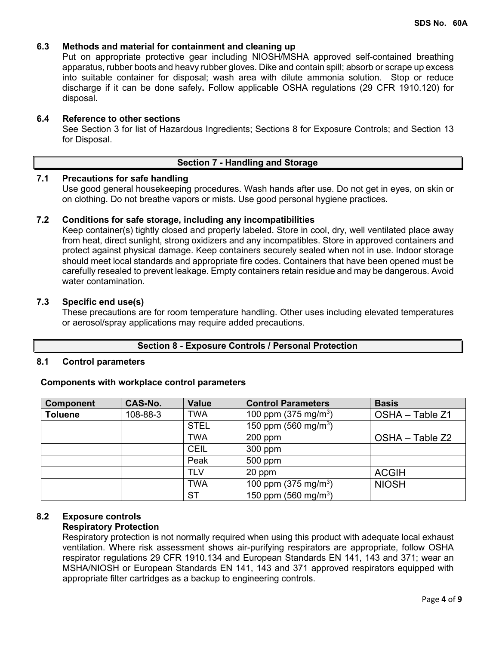## **6.3 Methods and material for containment and cleaning up**

Put on appropriate protective gear including NIOSH/MSHA approved self-contained breathing apparatus, rubber boots and heavy rubber gloves. Dike and contain spill; absorb or scrape up excess into suitable container for disposal; wash area with dilute ammonia solution. Stop or reduce discharge if it can be done safely**.** Follow applicable OSHA regulations (29 CFR 1910.120) for disposal.

### **6.4 Reference to other sections**

See Section 3 for list of Hazardous Ingredients; Sections 8 for Exposure Controls; and Section 13 for Disposal.

### **Section 7 - Handling and Storage**

### **7.1 Precautions for safe handling**

Use good general housekeeping procedures. Wash hands after use. Do not get in eyes, on skin or on clothing. Do not breathe vapors or mists. Use good personal hygiene practices.

### **7.2 Conditions for safe storage, including any incompatibilities**

Keep container(s) tightly closed and properly labeled. Store in cool, dry, well ventilated place away from heat, direct sunlight, strong oxidizers and any incompatibles. Store in approved containers and protect against physical damage. Keep containers securely sealed when not in use. Indoor storage should meet local standards and appropriate fire codes. Containers that have been opened must be carefully resealed to prevent leakage. Empty containers retain residue and may be dangerous. Avoid water contamination.

### **7.3 Specific end use(s)**

These precautions are for room temperature handling. Other uses including elevated temperatures or aerosol/spray applications may require added precautions.

### **Section 8 - Exposure Controls / Personal Protection**

### **8.1 Control parameters**

### **Components with workplace control parameters**

| <b>Component</b> | CAS-No.  | <b>Value</b> | <b>Control Parameters</b>        | <b>Basis</b>    |
|------------------|----------|--------------|----------------------------------|-----------------|
| <b>Toluene</b>   | 108-88-3 | <b>TWA</b>   | 100 ppm $(375 \text{ mg/m}^3)$   | OSHA - Table Z1 |
|                  |          | <b>STEL</b>  | 150 ppm (560 mg/m <sup>3</sup> ) |                 |
|                  |          | <b>TWA</b>   | $200$ ppm                        | OSHA - Table Z2 |
|                  |          | <b>CEIL</b>  | 300 ppm                          |                 |
|                  |          | Peak         | 500 ppm                          |                 |
|                  |          | <b>TLV</b>   | 20 ppm                           | <b>ACGIH</b>    |
|                  |          | <b>TWA</b>   | 100 ppm $(375 \text{ mg/m}^3)$   | <b>NIOSH</b>    |
|                  |          | <b>ST</b>    | 150 ppm (560 mg/m <sup>3</sup> ) |                 |

### **8.2 Exposure controls**

#### **Respiratory Protection**

Respiratory protection is not normally required when using this product with adequate local exhaust ventilation. Where risk assessment shows air-purifying respirators are appropriate, follow OSHA respirator regulations 29 CFR 1910.134 and European Standards EN 141, 143 and 371; wear an MSHA/NIOSH or European Standards EN 141, 143 and 371 approved respirators equipped with appropriate filter cartridges as a backup to engineering controls.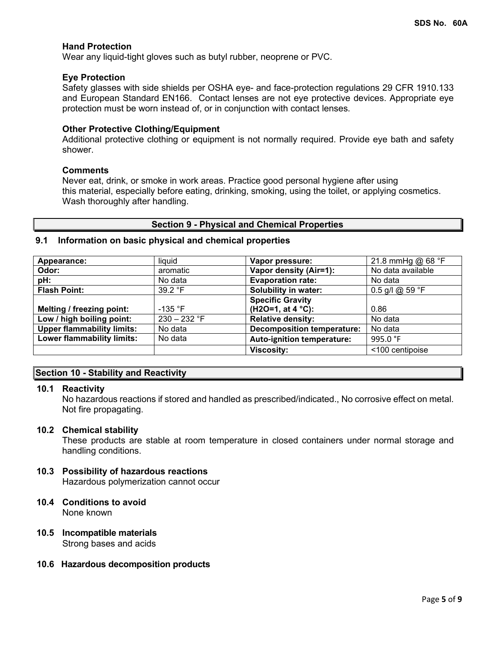### **Hand Protection**

Wear any liquid-tight gloves such as butyl rubber, neoprene or PVC.

#### **Eye Protection**

Safety glasses with side shields per OSHA eye- and face-protection regulations 29 CFR 1910.133 and European Standard EN166. Contact lenses are not eye protective devices. Appropriate eye protection must be worn instead of, or in conjunction with contact lenses.

#### **Other Protective Clothing/Equipment**

Additional protective clothing or equipment is not normally required. Provide eye bath and safety shower.

### **Comments**

Never eat, drink, or smoke in work areas. Practice good personal hygiene after using this material, especially before eating, drinking, smoking, using the toilet, or applying cosmetics. Wash thoroughly after handling.

### **Section 9 - Physical and Chemical Properties**

### **9.1 Information on basic physical and chemical properties**

| Appearance:                       | liquid         | Vapor pressure:                   | 21.8 mmHg @ $68 °F$ |
|-----------------------------------|----------------|-----------------------------------|---------------------|
| Odor:                             | aromatic       | Vapor density (Air=1):            | No data available   |
| pH:                               | No data        | <b>Evaporation rate:</b>          | No data             |
| <b>Flash Point:</b>               | 39.2 °F        | Solubility in water:              | 0.5 g/l @ 59 °F     |
|                                   |                | <b>Specific Gravity</b>           |                     |
| Melting / freezing point:         | $-135$ °F      | $(H2O=1, at 4 °C)$ :              | 0.86                |
| Low / high boiling point:         | $230 - 232$ °F | <b>Relative density:</b>          | No data             |
| <b>Upper flammability limits:</b> | No data        | <b>Decomposition temperature:</b> | No data             |
| Lower flammability limits:        | No data        | <b>Auto-ignition temperature:</b> | 995.0 °F            |
|                                   |                | <b>Viscosity:</b>                 | <100 centipoise     |

## **Section 10 - Stability and Reactivity**

### **10.1 Reactivity**

No hazardous reactions if stored and handled as prescribed/indicated., No corrosive effect on metal. Not fire propagating.

#### **10.2 Chemical stability**

These products are stable at room temperature in closed containers under normal storage and handling conditions.

### **10.3 Possibility of hazardous reactions**

Hazardous polymerization cannot occur

#### **10.4 Conditions to avoid** None known

#### **10.5 Incompatible materials** Strong bases and acids

**10.6 Hazardous decomposition products**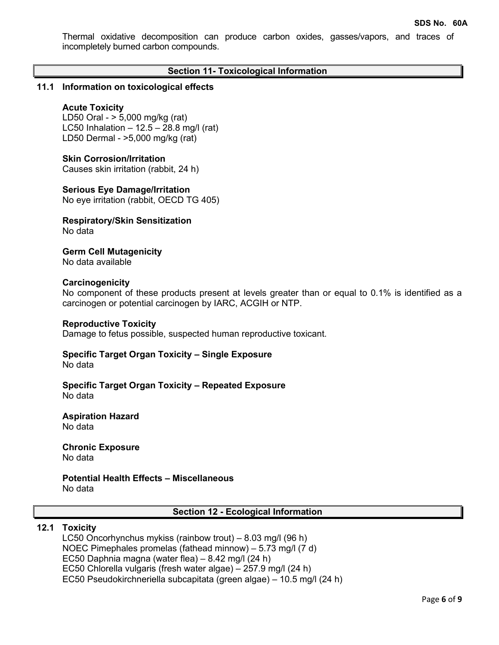Thermal oxidative decomposition can produce carbon oxides, gasses/vapors, and traces of incompletely burned carbon compounds.

### **Section 11- Toxicological Information**

### **11.1 Information on toxicological effects**

#### **Acute Toxicity**

LD50 Oral - > 5,000 mg/kg (rat) LC50 Inhalation  $-12.5 - 28.8$  mg/l (rat) LD50 Dermal - >5,000 mg/kg (rat)

#### **Skin Corrosion/Irritation**

Causes skin irritation (rabbit, 24 h)

### **Serious Eye Damage/Irritation**

No eye irritation (rabbit, OECD TG 405)

#### **Respiratory/Skin Sensitization** No data

**Germ Cell Mutagenicity** No data available

#### **Carcinogenicity**

No component of these products present at levels greater than or equal to 0.1% is identified as a carcinogen or potential carcinogen by IARC, ACGIH or NTP.

#### **Reproductive Toxicity**

Damage to fetus possible, suspected human reproductive toxicant.

#### **Specific Target Organ Toxicity – Single Exposure** No data

#### **Specific Target Organ Toxicity – Repeated Exposure** No data

#### **Aspiration Hazard** No data

#### **Chronic Exposure** No data

#### **Potential Health Effects – Miscellaneous** No data

### **Section 12 - Ecological Information**

#### **12.1 Toxicity**

LC50 Oncorhynchus mykiss (rainbow trout) – 8.03 mg/l (96 h) NOEC Pimephales promelas (fathead minnow) – 5.73 mg/l (7 d) EC50 Daphnia magna (water flea) – 8.42 mg/l (24 h) EC50 Chlorella vulgaris (fresh water algae) – 257.9 mg/l (24 h) EC50 Pseudokirchneriella subcapitata (green algae) – 10.5 mg/l (24 h)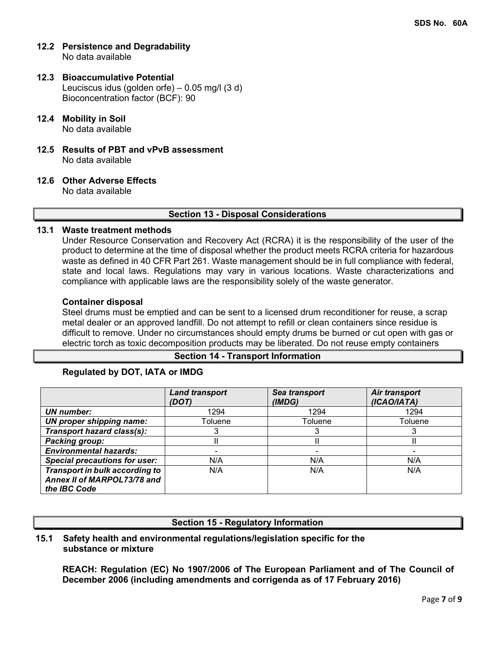- **12.2 Persistence and Degradability** No data available
- **12.3 Bioaccumulative Potential** Leuciscus idus (golden orfe) – 0.05 mg/l (3 d) Bioconcentration factor (BCF): 90
- **12.4 Mobility in Soil** No data available
- **12.5 Results of PBT and vPvB assessment** No data available
- **12.6 Other Adverse Effects**

No data available

### **Section 13 - Disposal Considerations**

### **13.1 Waste treatment methods**

Under Resource Conservation and Recovery Act (RCRA) it is the responsibility of the user of the product to determine at the time of disposal whether the product meets RCRA criteria for hazardous waste as defined in 40 CFR Part 261. Waste management should be in full compliance with federal, state and local laws. Regulations may vary in various locations. Waste characterizations and compliance with applicable laws are the responsibility solely of the waste generator.

### **Container disposal**

Steel drums must be emptied and can be sent to a licensed drum reconditioner for reuse, a scrap metal dealer or an approved landfill. Do not attempt to refill or clean containers since residue is difficult to remove. Under no circumstances should empty drums be burned or cut open with gas or electric torch as toxic decomposition products may be liberated. Do not reuse empty containers

## **Section 14 - Transport Information**

## **Regulated by DOT, IATA or IMDG**

|                                      | <b>Land transport</b><br>(DOT) | Sea transport<br>(IMDG) | Air transport<br>(ICAO/IATA) |
|--------------------------------------|--------------------------------|-------------------------|------------------------------|
| UN number:                           | 1294                           | 1294                    | 1294                         |
| <b>UN proper shipping name:</b>      | Toluene                        | Toluene                 | Toluene                      |
| Transport hazard class(s):           |                                |                         |                              |
| <b>Packing group:</b>                |                                |                         |                              |
| <b>Environmental hazards:</b>        |                                |                         |                              |
| <b>Special precautions for user:</b> | N/A                            | N/A                     | N/A                          |
| Transport in bulk according to       | N/A                            | N/A                     | N/A                          |
| Annex II of MARPOL73/78 and          |                                |                         |                              |
| the IBC Code                         |                                |                         |                              |

## **Section 15 - Regulatory Information**

### **15.1 Safety health and environmental regulations/legislation specific for the substance or mixture**

**REACH: Regulation (EC) No 1907/2006 of The European Parliament and of The Council of December 2006 (including amendments and corrigenda as of 17 February 2016)**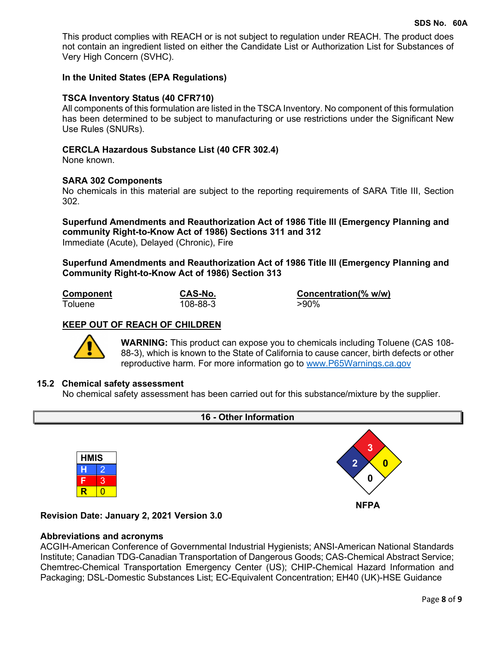This product complies with REACH or is not subject to regulation under REACH. The product does not contain an ingredient listed on either the Candidate List or Authorization List for Substances of Very High Concern (SVHC).

### **In the United States (EPA Regulations)**

### **TSCA Inventory Status (40 CFR710)**

All components of this formulation are listed in the TSCA Inventory. No component of this formulation has been determined to be subject to manufacturing or use restrictions under the Significant New Use Rules (SNURs).

### **CERCLA Hazardous Substance List (40 CFR 302.4)**

None known.

### **SARA 302 Components**

No chemicals in this material are subject to the reporting requirements of SARA Title III, Section 302.

**Superfund Amendments and Reauthorization Act of 1986 Title lll (Emergency Planning and community Right-to-Know Act of 1986) Sections 311 and 312** Immediate (Acute), Delayed (Chronic), Fire

**Superfund Amendments and Reauthorization Act of 1986 Title lll (Emergency Planning and Community Right-to-Know Act of 1986) Section 313**

Toluene

**Component CAS-No. CONS-NO. Concentration(% w/w)**<br>Toluene **108-88-3 CONS** 

## **KEEP OUT OF REACH OF CHILDREN**



**WARNING:** This product can expose you to chemicals including Toluene (CAS 108- 88-3), which is known to the State of California to cause cancer, birth defects or other reproductive harm. For more information go to [www.P65Warnings.ca.gov](http://www.p65warnings.ca.gov/)

### **15.2 Chemical safety assessment**

No chemical safety assessment has been carried out for this substance/mixture by the supplier.



## **Revision Date: January 2, 2021 Version 3.0**

### **Abbreviations and acronyms**

ACGIH-American Conference of Governmental Industrial Hygienists; ANSI-American National Standards Institute; Canadian TDG-Canadian Transportation of Dangerous Goods; CAS-Chemical Abstract Service; Chemtrec-Chemical Transportation Emergency Center (US); CHIP-Chemical Hazard Information and Packaging; DSL-Domestic Substances List; EC-Equivalent Concentration; EH40 (UK)-HSE Guidance